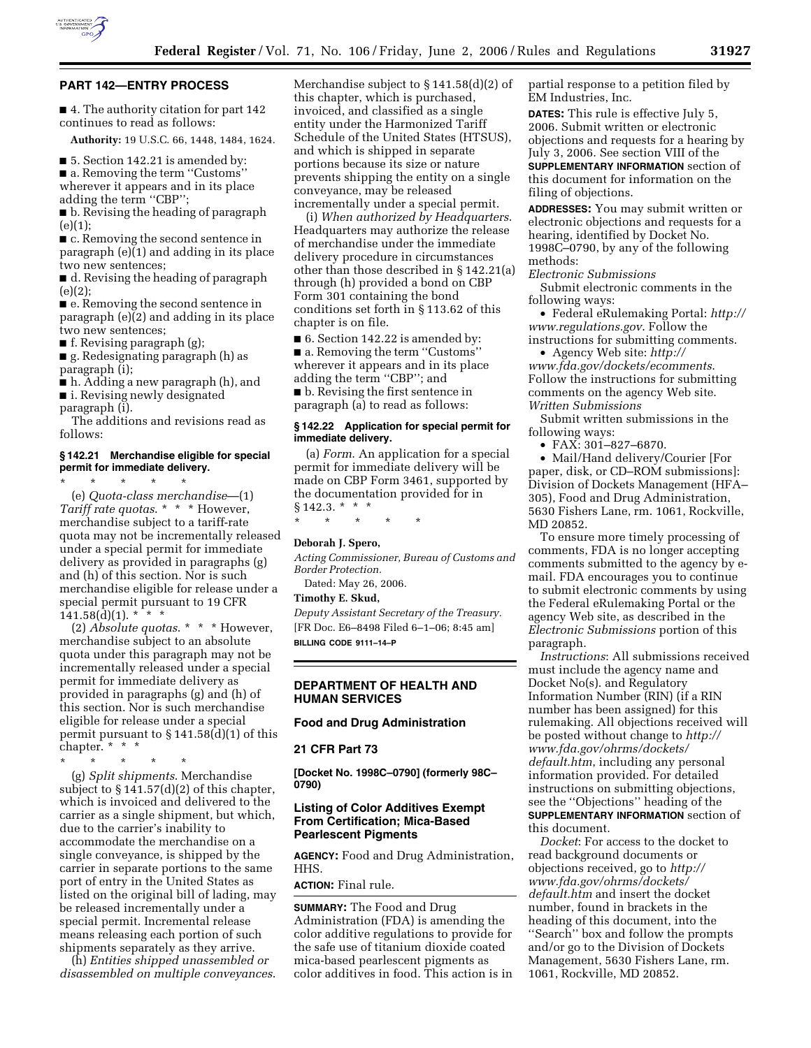

## **PART 142—ENTRY PROCESS**

■ 4. The authority citation for part 142 continues to read as follows:

**Authority:** 19 U.S.C. 66, 1448, 1484, 1624.

■ 5. Section 142.21 is amended by:

■ a. Removing the term "Customs" wherever it appears and in its place adding the term ''CBP'';

■ b. Revising the heading of paragraph  $(e)(1);$ 

■ c. Removing the second sentence in paragraph (e)(1) and adding in its place two new sentences;

■ d. Revising the heading of paragraph (e)(2);

■ e. Removing the second sentence in paragraph (e)(2) and adding in its place two new sentences;

■ f. Revising paragraph (g);

■ g. Redesignating paragraph (h) as paragraph (i);

■ h. Adding a new paragraph (h), and ■ i. Revising newly designated

paragraph (i).

The additions and revisions read as follows:

### **§ 142.21 Merchandise eligible for special permit for immediate delivery.**  \* \* \* \* \*

(e) *Quota-class merchandise*—(1) *Tariff rate quotas*. \* \* \* However, merchandise subject to a tariff-rate quota may not be incrementally released under a special permit for immediate delivery as provided in paragraphs (g) and (h) of this section. Nor is such merchandise eligible for release under a special permit pursuant to 19 CFR  $141.58(d)(1)$ . \*

(2) *Absolute quotas*. \* \* \* However, merchandise subject to an absolute quota under this paragraph may not be incrementally released under a special permit for immediate delivery as provided in paragraphs (g) and (h) of this section. Nor is such merchandise eligible for release under a special permit pursuant to  $\S 141.58(d)(1)$  of this chapter. \* \* \*

\* \* \* \* \*

(g) *Split shipments*. Merchandise subject to § 141.57(d)(2) of this chapter, which is invoiced and delivered to the carrier as a single shipment, but which, due to the carrier's inability to accommodate the merchandise on a single conveyance, is shipped by the carrier in separate portions to the same port of entry in the United States as listed on the original bill of lading, may be released incrementally under a special permit. Incremental release means releasing each portion of such shipments separately as they arrive.

(h) *Entities shipped unassembled or disassembled on multiple conveyances*. Merchandise subject to § 141.58(d)(2) of this chapter, which is purchased, invoiced, and classified as a single entity under the Harmonized Tariff Schedule of the United States (HTSUS), and which is shipped in separate portions because its size or nature prevents shipping the entity on a single conveyance, may be released incrementally under a special permit.

(i) *When authorized by Headquarters*. Headquarters may authorize the release of merchandise under the immediate delivery procedure in circumstances other than those described in § 142.21(a) through (h) provided a bond on CBP Form 301 containing the bond conditions set forth in § 113.62 of this chapter is on file.

■ 6. Section 142.22 is amended by: ■ a. Removing the term "Customs" wherever it appears and in its place adding the term ''CBP''; and ■ b. Revising the first sentence in

paragraph (a) to read as follows:

# **§ 142.22 Application for special permit for immediate delivery.**

(a) *Form*. An application for a special permit for immediate delivery will be made on CBP Form 3461, supported by the documentation provided for in  $§ 142.3.*$  \* \*

\* \* \* \* \*

# **Deborah J. Spero,**

*Acting Commissioner, Bureau of Customs and Border Protection.* 

Dated: May 26, 2006.

**Timothy E. Skud,** 

*Deputy Assistant Secretary of the Treasury.*  [FR Doc. E6–8498 Filed 6–1–06; 8:45 am] **BILLING CODE 9111–14–P** 

**DEPARTMENT OF HEALTH AND HUMAN SERVICES** 

## **Food and Drug Administration**

# **21 CFR Part 73**

**[Docket No. 1998C–0790] (formerly 98C– 0790)** 

# **Listing of Color Additives Exempt From Certification; Mica-Based Pearlescent Pigments**

**AGENCY:** Food and Drug Administration, HHS.

# **ACTION:** Final rule.

**SUMMARY:** The Food and Drug Administration (FDA) is amending the color additive regulations to provide for the safe use of titanium dioxide coated mica-based pearlescent pigments as color additives in food. This action is in partial response to a petition filed by EM Industries, Inc.

**DATES:** This rule is effective July 5, 2006. Submit written or electronic objections and requests for a hearing by July 3, 2006. See section VIII of the

**SUPPLEMENTARY INFORMATION** section of this document for information on the filing of objections.

**ADDRESSES:** You may submit written or electronic objections and requests for a hearing, identified by Docket No. 1998C–0790, by any of the following methods:

*Electronic Submissions* 

Submit electronic comments in the following ways:

• Federal eRulemaking Portal: *http:// www.regulations.gov*. Follow the instructions for submitting comments.

• Agency Web site: *http:// www.fda.gov/dockets/ecomments*. Follow the instructions for submitting comments on the agency Web site. *Written Submissions* 

Submit written submissions in the following ways:

• FAX: 301–827–6870.

• Mail/Hand delivery/Courier [For paper, disk, or CD–ROM submissions]: Division of Dockets Management (HFA– 305), Food and Drug Administration, 5630 Fishers Lane, rm. 1061, Rockville, MD 20852.

To ensure more timely processing of comments, FDA is no longer accepting comments submitted to the agency by email. FDA encourages you to continue to submit electronic comments by using the Federal eRulemaking Portal or the agency Web site, as described in the *Electronic Submissions* portion of this paragraph.

*Instructions*: All submissions received must include the agency name and Docket No(s). and Regulatory Information Number (RIN) (if a RIN number has been assigned) for this rulemaking. All objections received will be posted without change to *http:// www.fda.gov/ohrms/dockets/ default.htm*, including any personal information provided. For detailed instructions on submitting objections, see the ''Objections'' heading of the **SUPPLEMENTARY INFORMATION** section of this document.

*Docket*: For access to the docket to read background documents or objections received, go to *http:// www.fda.gov/ohrms/dockets/ default.htm* and insert the docket number, found in brackets in the heading of this document, into the ''Search'' box and follow the prompts and/or go to the Division of Dockets Management, 5630 Fishers Lane, rm. 1061, Rockville, MD 20852.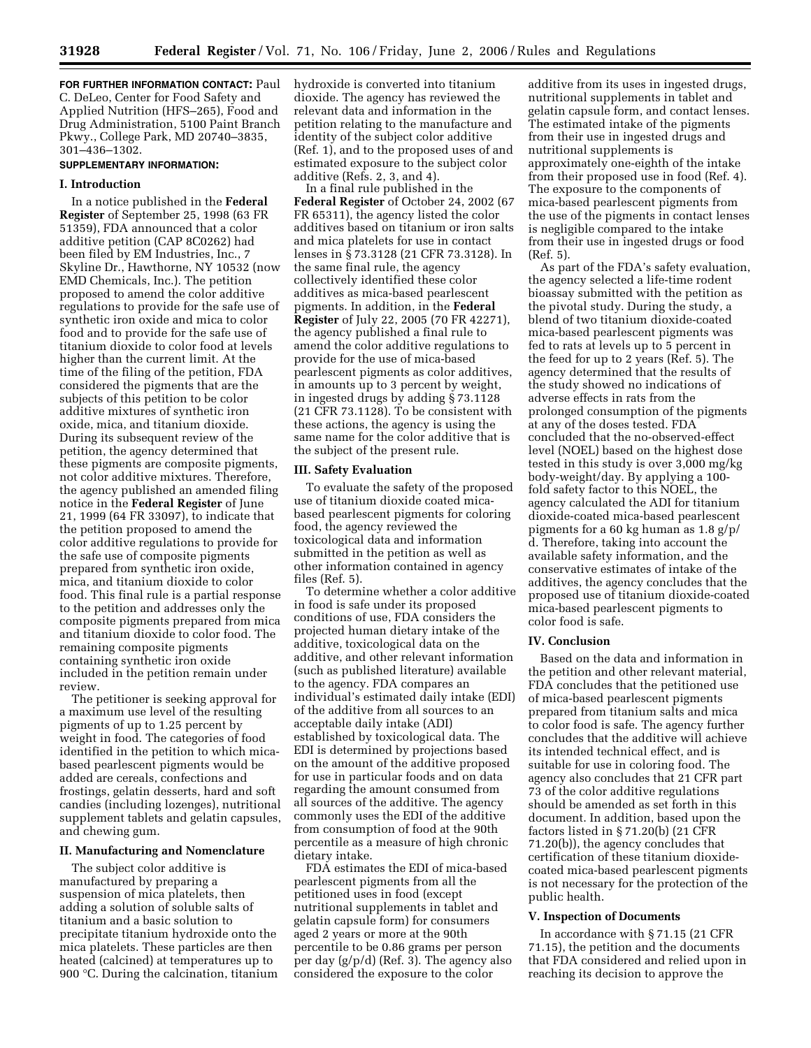**FOR FURTHER INFORMATION CONTACT: Paul** C. DeLeo, Center for Food Safety and Applied Nutrition (HFS–265), Food and Drug Administration, 5100 Paint Branch Pkwy., College Park, MD 20740–3835, 301–436–1302.

### **SUPPLEMENTARY INFORMATION:**

#### **I. Introduction**

In a notice published in the **Federal Register** of September 25, 1998 (63 FR 51359), FDA announced that a color additive petition (CAP 8C0262) had been filed by EM Industries, Inc., 7 Skyline Dr., Hawthorne, NY 10532 (now EMD Chemicals, Inc.). The petition proposed to amend the color additive regulations to provide for the safe use of synthetic iron oxide and mica to color food and to provide for the safe use of titanium dioxide to color food at levels higher than the current limit. At the time of the filing of the petition, FDA considered the pigments that are the subjects of this petition to be color additive mixtures of synthetic iron oxide, mica, and titanium dioxide. During its subsequent review of the petition, the agency determined that these pigments are composite pigments, not color additive mixtures. Therefore, the agency published an amended filing notice in the **Federal Register** of June 21, 1999 (64 FR 33097), to indicate that the petition proposed to amend the color additive regulations to provide for the safe use of composite pigments prepared from synthetic iron oxide, mica, and titanium dioxide to color food. This final rule is a partial response to the petition and addresses only the composite pigments prepared from mica and titanium dioxide to color food. The remaining composite pigments containing synthetic iron oxide included in the petition remain under review.

The petitioner is seeking approval for a maximum use level of the resulting pigments of up to 1.25 percent by weight in food. The categories of food identified in the petition to which micabased pearlescent pigments would be added are cereals, confections and frostings, gelatin desserts, hard and soft candies (including lozenges), nutritional supplement tablets and gelatin capsules, and chewing gum.

## **II. Manufacturing and Nomenclature**

The subject color additive is manufactured by preparing a suspension of mica platelets, then adding a solution of soluble salts of titanium and a basic solution to precipitate titanium hydroxide onto the mica platelets. These particles are then heated (calcined) at temperatures up to 900 °C. During the calcination, titanium hydroxide is converted into titanium dioxide. The agency has reviewed the relevant data and information in the petition relating to the manufacture and identity of the subject color additive (Ref. 1), and to the proposed uses of and estimated exposure to the subject color additive (Refs. 2, 3, and 4).

In a final rule published in the **Federal Register** of October 24, 2002 (67 FR 65311), the agency listed the color additives based on titanium or iron salts and mica platelets for use in contact lenses in § 73.3128 (21 CFR 73.3128). In the same final rule, the agency collectively identified these color additives as mica-based pearlescent pigments. In addition, in the **Federal Register** of July 22, 2005 (70 FR 42271), the agency published a final rule to amend the color additive regulations to provide for the use of mica-based pearlescent pigments as color additives, in amounts up to 3 percent by weight, in ingested drugs by adding § 73.1128 (21 CFR 73.1128). To be consistent with these actions, the agency is using the same name for the color additive that is the subject of the present rule.

### **III. Safety Evaluation**

To evaluate the safety of the proposed use of titanium dioxide coated micabased pearlescent pigments for coloring food, the agency reviewed the toxicological data and information submitted in the petition as well as other information contained in agency files (Ref. 5).

To determine whether a color additive in food is safe under its proposed conditions of use, FDA considers the projected human dietary intake of the additive, toxicological data on the additive, and other relevant information (such as published literature) available to the agency. FDA compares an individual's estimated daily intake (EDI) of the additive from all sources to an acceptable daily intake (ADI) established by toxicological data. The EDI is determined by projections based on the amount of the additive proposed for use in particular foods and on data regarding the amount consumed from all sources of the additive. The agency commonly uses the EDI of the additive from consumption of food at the 90th percentile as a measure of high chronic dietary intake.

FDA estimates the EDI of mica-based pearlescent pigments from all the petitioned uses in food (except nutritional supplements in tablet and gelatin capsule form) for consumers aged 2 years or more at the 90th percentile to be 0.86 grams per person per day (g/p/d) (Ref. 3). The agency also considered the exposure to the color

additive from its uses in ingested drugs, nutritional supplements in tablet and gelatin capsule form, and contact lenses. The estimated intake of the pigments from their use in ingested drugs and nutritional supplements is approximately one-eighth of the intake from their proposed use in food (Ref. 4). The exposure to the components of mica-based pearlescent pigments from the use of the pigments in contact lenses is negligible compared to the intake from their use in ingested drugs or food (Ref. 5).

As part of the FDA's safety evaluation, the agency selected a life-time rodent bioassay submitted with the petition as the pivotal study. During the study, a blend of two titanium dioxide-coated mica-based pearlescent pigments was fed to rats at levels up to 5 percent in the feed for up to 2 years (Ref. 5). The agency determined that the results of the study showed no indications of adverse effects in rats from the prolonged consumption of the pigments at any of the doses tested. FDA concluded that the no-observed-effect level (NOEL) based on the highest dose tested in this study is over 3,000 mg/kg body-weight/day. By applying a 100 fold safety factor to this NOEL, the agency calculated the ADI for titanium dioxide-coated mica-based pearlescent pigments for a 60 kg human as 1.8 g/p/ d. Therefore, taking into account the available safety information, and the conservative estimates of intake of the additives, the agency concludes that the proposed use of titanium dioxide-coated mica-based pearlescent pigments to color food is safe.

### **IV. Conclusion**

Based on the data and information in the petition and other relevant material, FDA concludes that the petitioned use of mica-based pearlescent pigments prepared from titanium salts and mica to color food is safe. The agency further concludes that the additive will achieve its intended technical effect, and is suitable for use in coloring food. The agency also concludes that 21 CFR part 73 of the color additive regulations should be amended as set forth in this document. In addition, based upon the factors listed in § 71.20(b) (21 CFR 71.20(b)), the agency concludes that certification of these titanium dioxidecoated mica-based pearlescent pigments is not necessary for the protection of the public health.

#### **V. Inspection of Documents**

In accordance with § 71.15 (21 CFR 71.15), the petition and the documents that FDA considered and relied upon in reaching its decision to approve the